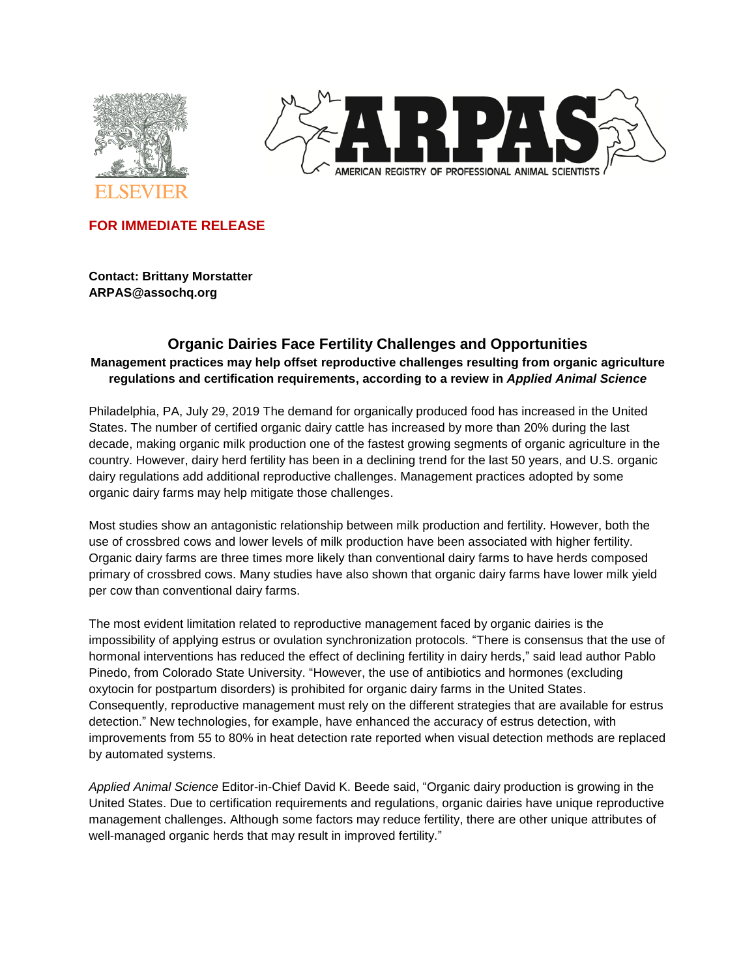



**FOR IMMEDIATE RELEASE**

**Contact: Brittany Morstatter ARPAS@assochq.org**

# **Organic Dairies Face Fertility Challenges and Opportunities Management practices may help offset reproductive challenges resulting from organic agriculture regulations and certification requirements, according to a review in** *Applied Animal Science*

Philadelphia, PA, July 29, 2019 The demand for organically produced food has increased in the United States. The number of certified organic dairy cattle has increased by more than 20% during the last decade, making organic milk production one of the fastest growing segments of organic agriculture in the country. However, dairy herd fertility has been in a declining trend for the last 50 years, and U.S. organic dairy regulations add additional reproductive challenges. Management practices adopted by some organic dairy farms may help mitigate those challenges.

Most studies show an antagonistic relationship between milk production and fertility. However, both the use of crossbred cows and lower levels of milk production have been associated with higher fertility. Organic dairy farms are three times more likely than conventional dairy farms to have herds composed primary of crossbred cows. Many studies have also shown that organic dairy farms have lower milk yield per cow than conventional dairy farms.

The most evident limitation related to reproductive management faced by organic dairies is the impossibility of applying estrus or ovulation synchronization protocols. "There is consensus that the use of hormonal interventions has reduced the effect of declining fertility in dairy herds," said lead author Pablo Pinedo, from Colorado State University. "However, the use of antibiotics and hormones (excluding oxytocin for postpartum disorders) is prohibited for organic dairy farms in the United States. Consequently, reproductive management must rely on the different strategies that are available for estrus detection." New technologies, for example, have enhanced the accuracy of estrus detection, with improvements from 55 to 80% in heat detection rate reported when visual detection methods are replaced by automated systems.

*Applied Animal Science* Editor-in-Chief David K. Beede said, "Organic dairy production is growing in the United States. Due to certification requirements and regulations, organic dairies have unique reproductive management challenges. Although some factors may reduce fertility, there are other unique attributes of well-managed organic herds that may result in improved fertility."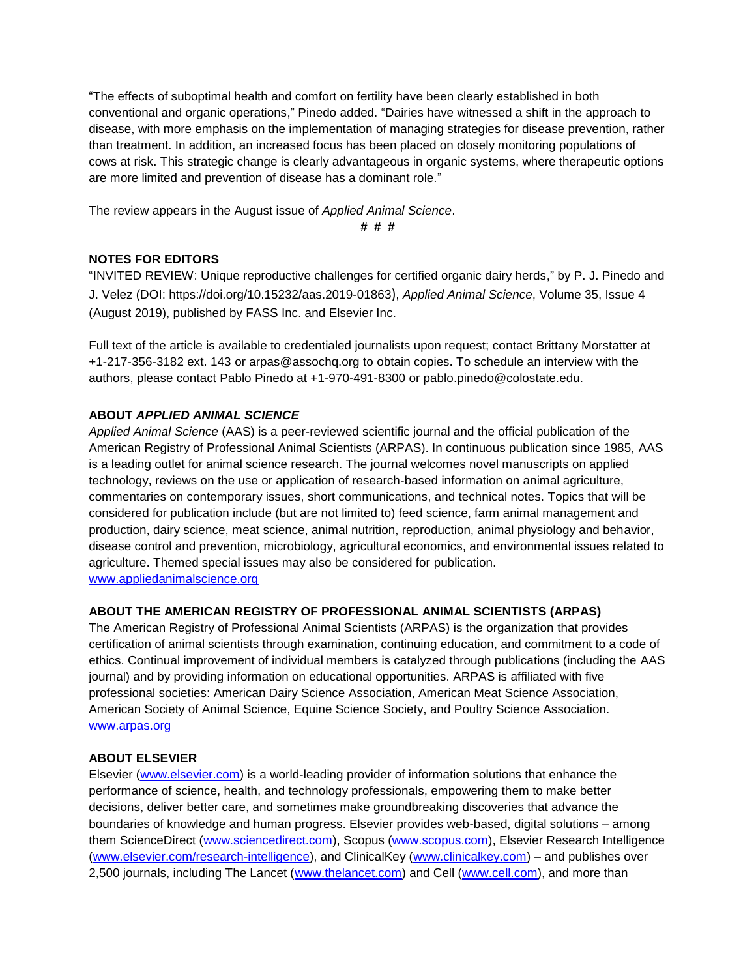"The effects of suboptimal health and comfort on fertility have been clearly established in both conventional and organic operations," Pinedo added. "Dairies have witnessed a shift in the approach to disease, with more emphasis on the implementation of managing strategies for disease prevention, rather than treatment. In addition, an increased focus has been placed on closely monitoring populations of cows at risk. This strategic change is clearly advantageous in organic systems, where therapeutic options are more limited and prevention of disease has a dominant role."

The review appears in the August issue of *Applied Animal Science*.

**# # #**

### **NOTES FOR EDITORS**

"INVITED REVIEW: Unique reproductive challenges for certified organic dairy herds," by P. J. Pinedo and J. Velez (DOI: https://doi.org/10.15232/aas.2019-01863), *Applied Animal Science*, Volume 35, Issue 4 (August 2019), published by FASS Inc. and Elsevier Inc.

Full text of the article is available to credentialed journalists upon request; contact Brittany Morstatter at +1-217-356-3182 ext. 143 or arpas@assochq.org to obtain copies. To schedule an interview with the authors, please contact Pablo Pinedo at +1-970-491-8300 or pablo.pinedo@colostate.edu.

## **ABOUT** *APPLIED ANIMAL SCIENCE*

*Applied Animal Science* (AAS) is a peer-reviewed scientific journal and the official publication of the American Registry of Professional Animal Scientists (ARPAS). In continuous publication since 1985, AAS is a leading outlet for animal science research. The journal welcomes novel manuscripts on applied technology, reviews on the use or application of research-based information on animal agriculture, commentaries on contemporary issues, short communications, and technical notes. Topics that will be considered for publication include (but are not limited to) feed science, farm animal management and production, dairy science, meat science, animal nutrition, reproduction, animal physiology and behavior, disease control and prevention, microbiology, agricultural economics, and environmental issues related to agriculture. Themed special issues may also be considered for publication. www.appliedanimalscience.org

### **ABOUT THE AMERICAN REGISTRY OF PROFESSIONAL ANIMAL SCIENTISTS (ARPAS)**

The American Registry of Professional Animal Scientists (ARPAS) is the organization that provides certification of animal scientists through examination, continuing education, and commitment to a code of ethics. Continual improvement of individual members is catalyzed through publications (including the AAS journal) and by providing information on educational opportunities. ARPAS is affiliated with five professional societies: American Dairy Science Association, American Meat Science Association, American Society of Animal Science, Equine Science Society, and Poultry Science Association. [www.arpas.org](file:///C:/Users/CDavies/Desktop/www.arpas.org)

### **ABOUT ELSEVIER**

Elsevier [\(www.elsevier.com\)](http://www.elsevier.com/) is a world-leading provider of information solutions that enhance the performance of science, health, and technology professionals, empowering them to make better decisions, deliver better care, and sometimes make groundbreaking discoveries that advance the boundaries of knowledge and human progress. Elsevier provides web-based, digital solutions – among them ScienceDirect [\(www.sciencedirect.com\)](http://www.sciencedirect.com/), Scopus [\(www.scopus.com\)](http://www.scopus.com/), Elsevier Research Intelligence [\(www.elsevier.com/research-intelligence\)](http://www.elsevier.com/research-intelligence), and ClinicalKey [\(www.clinicalkey.com\)](http://www.clinicalkey.com/) – and publishes over 2,500 journals, including The Lancet [\(www.thelancet.com\)](file:///C:/Users/pinedop/AppData/Local/Microsoft/Windows/INetCache/Content.Outlook/J3P0HVKG/www.thelancet.com) and Cell [\(www.cell.com\)](file:///C:/Users/pinedop/AppData/Local/Microsoft/Windows/INetCache/Content.Outlook/J3P0HVKG/www.cell.com), and more than